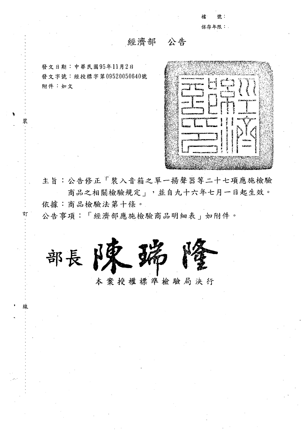授 肆 : 保存年限:

## 經濟部 公告

發文日期:中華民國95年11月2日 發文字號:經授標字第09520050640號 附件:如文

|                                                                                                                                                                                                                                                          | <b>START COM</b> | <b>The Ave</b>    |                                |  |
|----------------------------------------------------------------------------------------------------------------------------------------------------------------------------------------------------------------------------------------------------------|------------------|-------------------|--------------------------------|--|
|                                                                                                                                                                                                                                                          |                  |                   |                                |  |
| his community was a first part of                                                                                                                                                                                                                        | K                |                   | ιJ<br>٠.                       |  |
| TAX DISCRIPTION IN CASE OF                                                                                                                                                                                                                               |                  |                   |                                |  |
| 4,77.82<br><b>EDUCATION</b>                                                                                                                                                                                                                              |                  |                   |                                |  |
|                                                                                                                                                                                                                                                          |                  | - مدحد            |                                |  |
| <b>Express comments</b>                                                                                                                                                                                                                                  |                  | はんだいいこ            |                                |  |
| 91202                                                                                                                                                                                                                                                    |                  |                   | ここもの さんかいしん コロリ                |  |
| التحجيد                                                                                                                                                                                                                                                  |                  | وجودنا بروود<br>Ē |                                |  |
| <b>CRANSON TECHNICIA</b>                                                                                                                                                                                                                                 |                  |                   |                                |  |
| <b>Communist Communist</b>                                                                                                                                                                                                                               |                  |                   | المتحاسب                       |  |
|                                                                                                                                                                                                                                                          | м                |                   | ووساده والدوائية الشرفة بسروره |  |
| урса <del>ан нэг удааны хуулсын</del>                                                                                                                                                                                                                    |                  |                   |                                |  |
| र्<br>पेश्वरायः                                                                                                                                                                                                                                          |                  |                   |                                |  |
|                                                                                                                                                                                                                                                          |                  |                   |                                |  |
| <b><i><u> BEATEN DE LA BILLET DE LA BILLET DE LA BILLET DE LA BILLET DE LA BILLET DE LA BILLET DE LA BILLET DE LA BILLET DE LA BILLET DE LA BILLET DE LA BILLET DE LA BILLET DE LA BILLET DE LA BILLET DE LA BILLET DE LA BILLET DE </u></i></b><br>6331 |                  |                   |                                |  |
|                                                                                                                                                                                                                                                          |                  |                   |                                |  |
|                                                                                                                                                                                                                                                          |                  |                   | <b>A335K2ng</b>                |  |
|                                                                                                                                                                                                                                                          | レオフスモノン          |                   | <b>Laters</b>                  |  |
|                                                                                                                                                                                                                                                          |                  |                   |                                |  |
| e arv                                                                                                                                                                                                                                                    |                  |                   |                                |  |
|                                                                                                                                                                                                                                                          |                  |                   |                                |  |
|                                                                                                                                                                                                                                                          |                  |                   |                                |  |
|                                                                                                                                                                                                                                                          |                  |                   |                                |  |
|                                                                                                                                                                                                                                                          |                  |                   |                                |  |

主旨:公告修正「裝入音箱之單一揚聲器等二十七項應施檢驗 商品之相關檢驗規定」,並自九十六年七月一日起生效。 依據:商品檢驗法第十條。

公告事項:「經濟部應施檢驗商品明細表」如附件。



本案授權標準檢驗局決行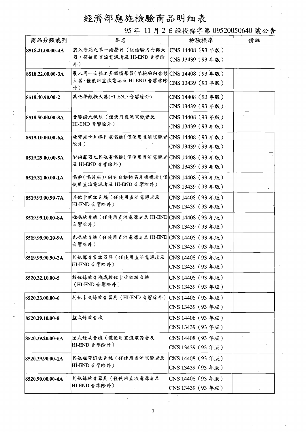## 經濟部應施檢驗商品明細表

95年 11月2日經授標字第 09520050640 號公告

| 商品分類號列           | 品名                                                             | 檢驗標準             | 備註 |
|------------------|----------------------------------------------------------------|------------------|----|
| 8518.21.00.00-4A | 裝入音箱之單一揚聲器(限檢驗內含擴大                                             | CNS 14408 (93年版) |    |
|                  | 器,僅使用直流電源者及 HI-END 音響除<br>外)                                   | CNS 13439 (93年版) |    |
| 8518.22.00.00-3A | 裝入同一音箱之多個揚聲器(限檢驗內含擴 CNS 14408 (93年版)                           |                  |    |
|                  | 大器,僅使用直流電源及 HI-END 音響者除<br>外)                                  | CNS 13439 (93年版) |    |
| 8518.40.90.00-2  | 其他聲頻擴大器(HI-END音響除外)                                            | CNS 14408 (93年版) |    |
|                  |                                                                | CNS 13439 (93年版) |    |
| 8518.50.00.00-8A | 音響擴大機組(僅使用直流電源者及<br> HI-END 音響除外)                              | CNS 14408 (93年版) |    |
|                  |                                                                | CNS 13439 (93年版) |    |
| 8519.10.00.00-6A | 硬幣或卡片操作電唱機(僅使用直流電源者 CNS14408 (93年版)                            |                  |    |
|                  | 除外)                                                            | CNS 13439 (93年版) |    |
| 8519.29.00.00-5A | 附揚聲器之其他電唱機(僅使用直流電源者 CNS 14408 (93年版)                           |                  |    |
|                  | 及 HI-END 音響除外)                                                 | CNS 13439 (93年版) |    |
| 8519.31.00.00-1A | 唱盤(唱片座),附有自動換唱片機構者(僅 CNS 14408 (93年版)<br>使用直流電源者及 HI-END 音響除外) |                  |    |
|                  |                                                                | CNS 13439 (93年版) |    |
| 8519.93.00.90-7A | 其他卡式放音機(僅使用直流電源者及<br>HI-END 音響除外)                              | CNS 14408 (93年版) |    |
|                  |                                                                | CNS 13439 (93年版) |    |
| 8519.99.10.00-8A | 磁碟放音機 (僅使用直流電源者及 HI-END CNS 14408 (93年版)<br>音響除外)              |                  |    |
|                  |                                                                | CNS 13439 (93年版) |    |
| 8519.99.90.10-9A | 光碟放音機(僅使用直流電源者及 HI-END CNS 14408 (93年版)<br>音響除外)               |                  |    |
|                  |                                                                | CNS 13439 (93年版) |    |
| 8519.99.90.90-2A | 其他聲音重放器具(僅使用直流電源者及  CNS 14408 (93年版)<br>HI-END 音響除外)           |                  |    |
|                  |                                                                | CNS 13439 (93年版) |    |
| 8520.32.10.00-5  | 數位錄放音機或數位卡帶錄放音機                                                | CNS 14408 (93年版) |    |
|                  | (HI-END 音響除外)                                                  | CNS 13439 (93年版) |    |
| 8520.33.00.00-6  | 其他卡式錄放音器具 (HI-END 音響除外)                                        | CNS 14408 (93年版) |    |
|                  |                                                                | CNS 13439 (93年版) |    |
| 8520.39.10.00-8  | 盤式錄放音機                                                         | CNS 14408 (93年版) |    |
|                  |                                                                | CNS 13439 (93年版) |    |
| 8520.39.20.00-6A | 匣式錄放音機(僅使用直流電源者及<br>HI-END 音響除外)                               | CNS 14408 (93年版) |    |
|                  |                                                                | CNS 13439 (93年版) |    |
| 8520.39.90.00-1A | 其他磁帶錄放音機(僅使用直流電源者及                                             | CNS 14408 (93年版) |    |
|                  | HI-END 音響除外)                                                   | CNS 13439 (93年版) |    |
| 8520.90.00.00-6A | 其他錄放音器具(僅使用直流電源者及                                              | CNS 14408 (93年版) |    |
|                  | HI-END 音響除外)                                                   | CNS 13439 (93年版) |    |

 $\mathbf{1}$